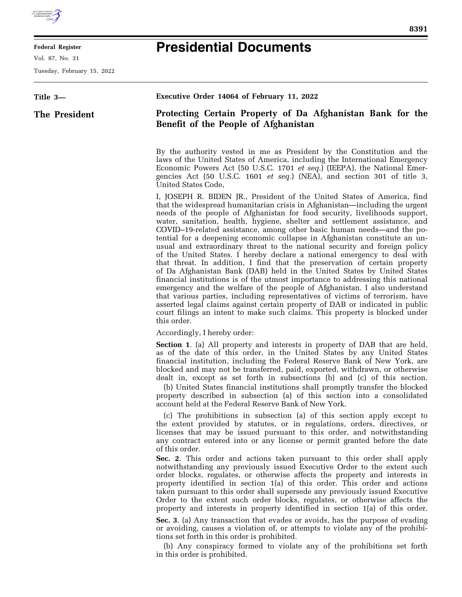

E

## **Federal Register**

Vol. 87, No. 31

Tuesday, February 15, 2022

| ×<br>۰. |  |
|---------|--|
|         |  |
|         |  |

## **Presidential Documents**

| Title 3-      | Executive Order 14064 of February 11, 2022                                                                                                                                                                                                                                                                                                                                                                                                                                                                                                                                                                                                                                                                                                                                                                                                                                                                                                                                                                                                                                                                                                                                                                                           |
|---------------|--------------------------------------------------------------------------------------------------------------------------------------------------------------------------------------------------------------------------------------------------------------------------------------------------------------------------------------------------------------------------------------------------------------------------------------------------------------------------------------------------------------------------------------------------------------------------------------------------------------------------------------------------------------------------------------------------------------------------------------------------------------------------------------------------------------------------------------------------------------------------------------------------------------------------------------------------------------------------------------------------------------------------------------------------------------------------------------------------------------------------------------------------------------------------------------------------------------------------------------|
| The President | Protecting Certain Property of Da Afghanistan Bank for the<br>Benefit of the People of Afghanistan                                                                                                                                                                                                                                                                                                                                                                                                                                                                                                                                                                                                                                                                                                                                                                                                                                                                                                                                                                                                                                                                                                                                   |
|               | By the authority vested in me as President by the Constitution and the<br>laws of the United States of America, including the International Emergency<br>Economic Powers Act (50 U.S.C. 1701 et seq.) (IEEPA), the National Emer-<br>gencies Act (50 U.S.C. 1601 et seq.) (NEA), and section 301 of title 3,<br>United States Code,                                                                                                                                                                                                                                                                                                                                                                                                                                                                                                                                                                                                                                                                                                                                                                                                                                                                                                  |
|               | I, JOSEPH R. BIDEN JR., President of the United States of America, find<br>that the widespread humanitarian crisis in Afghanistan—including the urgent<br>needs of the people of Afghanistan for food security, livelihoods support,<br>water, sanitation, health, hygiene, shelter and settlement assistance, and<br>COVID-19-related assistance, among other basic human needs—and the po-<br>tential for a deepening economic collapse in Afghanistan constitute an un-<br>usual and extraordinary threat to the national security and foreign policy<br>of the United States. I hereby declare a national emergency to deal with<br>that threat. In addition, I find that the preservation of certain property<br>of Da Afghanistan Bank (DAB) held in the United States by United States<br>financial institutions is of the utmost importance to addressing this national<br>emergency and the welfare of the people of Afghanistan. I also understand<br>that various parties, including representatives of victims of terrorism, have<br>asserted legal claims against certain property of DAB or indicated in public<br>court filings an intent to make such claims. This property is blocked under<br>this order.          |
|               | Accordingly, I hereby order:                                                                                                                                                                                                                                                                                                                                                                                                                                                                                                                                                                                                                                                                                                                                                                                                                                                                                                                                                                                                                                                                                                                                                                                                         |
|               | <b>Section 1.</b> (a) All property and interests in property of DAB that are held,<br>as of the date of this order, in the United States by any United States<br>financial institution, including the Federal Reserve Bank of New York, are<br>blocked and may not be transferred, paid, exported, withdrawn, or otherwise<br>dealt in, except as set forth in subsections (b) and (c) of this section.<br>(b) United States financial institutions shall promptly transfer the blocked<br>property described in subsection (a) of this section into a consolidated<br>account held at the Federal Reserve Bank of New York.                                                                                                                                                                                                                                                                                                                                                                                                                                                                                                                                                                                                         |
|               | (c) The prohibitions in subsection (a) of this section apply except to<br>the extent provided by statutes, or in regulations, orders, directives, or<br>licenses that may be issued pursuant to this order, and notwithstanding<br>any contract entered into or any license or permit granted before the date<br>of this order.<br>Sec. 2. This order and actions taken pursuant to this order shall apply<br>notwithstanding any previously issued Executive Order to the extent such<br>order blocks, regulates, or otherwise affects the property and interests in<br>property identified in section 1(a) of this order. This order and actions<br>taken pursuant to this order shall supersede any previously issued Executive<br>Order to the extent such order blocks, regulates, or otherwise affects the<br>property and interests in property identified in section 1(a) of this order.<br><b>Sec.</b> 3. (a) Any transaction that evades or avoids, has the purpose of evading<br>or avoiding, causes a violation of, or attempts to violate any of the prohibi-<br>tions set forth in this order is prohibited.<br>(b) Any conspiracy formed to violate any of the prohibitions set forth<br>in this order is prohibited. |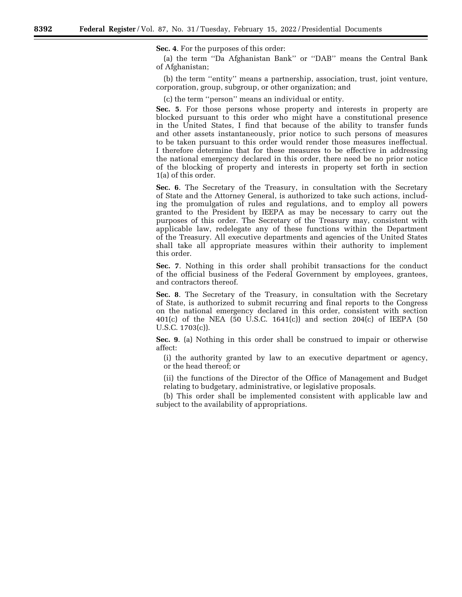**Sec. 4**. For the purposes of this order:

(a) the term ''Da Afghanistan Bank'' or ''DAB'' means the Central Bank of Afghanistan;

(b) the term ''entity'' means a partnership, association, trust, joint venture, corporation, group, subgroup, or other organization; and

(c) the term ''person'' means an individual or entity.

**Sec. 5**. For those persons whose property and interests in property are blocked pursuant to this order who might have a constitutional presence in the United States, I find that because of the ability to transfer funds and other assets instantaneously, prior notice to such persons of measures to be taken pursuant to this order would render those measures ineffectual. I therefore determine that for these measures to be effective in addressing the national emergency declared in this order, there need be no prior notice of the blocking of property and interests in property set forth in section 1(a) of this order.

**Sec. 6**. The Secretary of the Treasury, in consultation with the Secretary of State and the Attorney General, is authorized to take such actions, including the promulgation of rules and regulations, and to employ all powers granted to the President by IEEPA as may be necessary to carry out the purposes of this order. The Secretary of the Treasury may, consistent with applicable law, redelegate any of these functions within the Department of the Treasury. All executive departments and agencies of the United States shall take all appropriate measures within their authority to implement this order.

**Sec. 7**. Nothing in this order shall prohibit transactions for the conduct of the official business of the Federal Government by employees, grantees, and contractors thereof.

**Sec. 8**. The Secretary of the Treasury, in consultation with the Secretary of State, is authorized to submit recurring and final reports to the Congress on the national emergency declared in this order, consistent with section 401(c) of the NEA (50 U.S.C. 1641(c)) and section 204(c) of IEEPA (50 U.S.C. 1703(c)).

**Sec. 9**. (a) Nothing in this order shall be construed to impair or otherwise affect:

(i) the authority granted by law to an executive department or agency, or the head thereof; or

(ii) the functions of the Director of the Office of Management and Budget relating to budgetary, administrative, or legislative proposals.

(b) This order shall be implemented consistent with applicable law and subject to the availability of appropriations.